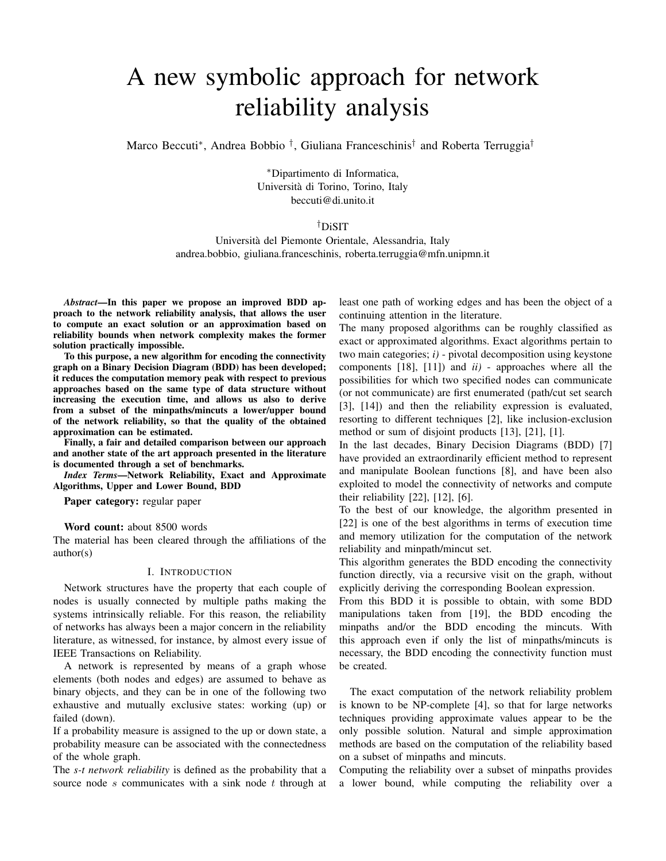# A new symbolic approach for network reliability analysis

Marco Beccuti\*, Andrea Bobbio <sup>†</sup>, Giuliana Franceschinis<sup>†</sup> and Roberta Terruggia<sup>†</sup>

<sup>∗</sup>Dipartimento di Informatica, Universita di Torino, Torino, Italy ` beccuti@di.unito.it

## †DiSIT

Universita del Piemonte Orientale, Alessandria, Italy ` andrea.bobbio, giuliana.franceschinis, roberta.terruggia@mfn.unipmn.it

*Abstract*—In this paper we propose an improved BDD approach to the network reliability analysis, that allows the user to compute an exact solution or an approximation based on reliability bounds when network complexity makes the former solution practically impossible.

To this purpose, a new algorithm for encoding the connectivity graph on a Binary Decision Diagram (BDD) has been developed; it reduces the computation memory peak with respect to previous approaches based on the same type of data structure without increasing the execution time, and allows us also to derive from a subset of the minpaths/mincuts a lower/upper bound of the network reliability, so that the quality of the obtained approximation can be estimated.

Finally, a fair and detailed comparison between our approach and another state of the art approach presented in the literature is documented through a set of benchmarks.

*Index Terms*—Network Reliability, Exact and Approximate Algorithms, Upper and Lower Bound, BDD

Paper category: regular paper

Word count: about 8500 words

The material has been cleared through the affiliations of the author(s)

#### I. INTRODUCTION

Network structures have the property that each couple of nodes is usually connected by multiple paths making the systems intrinsically reliable. For this reason, the reliability of networks has always been a major concern in the reliability literature, as witnessed, for instance, by almost every issue of IEEE Transactions on Reliability.

A network is represented by means of a graph whose elements (both nodes and edges) are assumed to behave as binary objects, and they can be in one of the following two exhaustive and mutually exclusive states: working (up) or failed (down).

If a probability measure is assigned to the up or down state, a probability measure can be associated with the connectedness of the whole graph.

The *s-t network reliability* is defined as the probability that a source node  $s$  communicates with a sink node  $t$  through at least one path of working edges and has been the object of a continuing attention in the literature.

The many proposed algorithms can be roughly classified as exact or approximated algorithms. Exact algorithms pertain to two main categories; *i)* - pivotal decomposition using keystone components [18], [11]) and *ii)* - approaches where all the possibilities for which two specified nodes can communicate (or not communicate) are first enumerated (path/cut set search [3], [14]) and then the reliability expression is evaluated, resorting to different techniques [2], like inclusion-exclusion method or sum of disjoint products [13], [21], [1].

In the last decades, Binary Decision Diagrams (BDD) [7] have provided an extraordinarily efficient method to represent and manipulate Boolean functions [8], and have been also exploited to model the connectivity of networks and compute their reliability  $[22]$ ,  $[12]$ ,  $[6]$ .

To the best of our knowledge, the algorithm presented in [22] is one of the best algorithms in terms of execution time and memory utilization for the computation of the network reliability and minpath/mincut set.

This algorithm generates the BDD encoding the connectivity function directly, via a recursive visit on the graph, without explicitly deriving the corresponding Boolean expression.

From this BDD it is possible to obtain, with some BDD manipulations taken from [19], the BDD encoding the minpaths and/or the BDD encoding the mincuts. With this approach even if only the list of minpaths/mincuts is necessary, the BDD encoding the connectivity function must be created.

The exact computation of the network reliability problem is known to be NP-complete [4], so that for large networks techniques providing approximate values appear to be the only possible solution. Natural and simple approximation methods are based on the computation of the reliability based on a subset of minpaths and mincuts.

Computing the reliability over a subset of minpaths provides a lower bound, while computing the reliability over a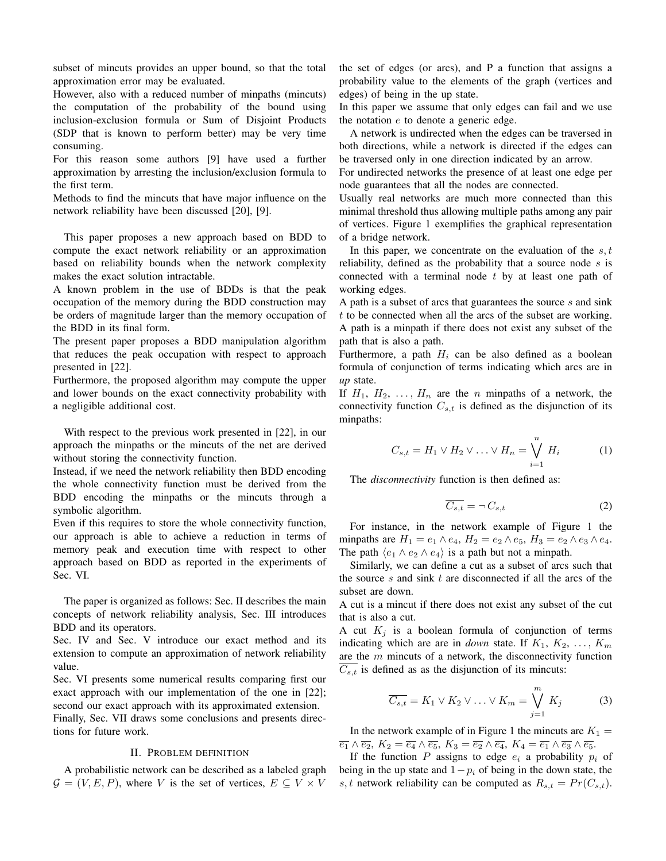subset of mincuts provides an upper bound, so that the total approximation error may be evaluated.

However, also with a reduced number of minpaths (mincuts) the computation of the probability of the bound using inclusion-exclusion formula or Sum of Disjoint Products (SDP that is known to perform better) may be very time consuming.

For this reason some authors [9] have used a further approximation by arresting the inclusion/exclusion formula to the first term.

Methods to find the mincuts that have major influence on the network reliability have been discussed [20], [9].

This paper proposes a new approach based on BDD to compute the exact network reliability or an approximation based on reliability bounds when the network complexity makes the exact solution intractable.

A known problem in the use of BDDs is that the peak occupation of the memory during the BDD construction may be orders of magnitude larger than the memory occupation of the BDD in its final form.

The present paper proposes a BDD manipulation algorithm that reduces the peak occupation with respect to approach presented in [22].

Furthermore, the proposed algorithm may compute the upper and lower bounds on the exact connectivity probability with a negligible additional cost.

With respect to the previous work presented in [22], in our approach the minpaths or the mincuts of the net are derived without storing the connectivity function.

Instead, if we need the network reliability then BDD encoding the whole connectivity function must be derived from the BDD encoding the minpaths or the mincuts through a symbolic algorithm.

Even if this requires to store the whole connectivity function, our approach is able to achieve a reduction in terms of memory peak and execution time with respect to other approach based on BDD as reported in the experiments of Sec. VI.

The paper is organized as follows: Sec. II describes the main concepts of network reliability analysis, Sec. III introduces BDD and its operators.

Sec. IV and Sec. V introduce our exact method and its extension to compute an approximation of network reliability value.

Sec. VI presents some numerical results comparing first our exact approach with our implementation of the one in [22]; second our exact approach with its approximated extension.

Finally, Sec. VII draws some conclusions and presents directions for future work.

## II. PROBLEM DEFINITION

A probabilistic network can be described as a labeled graph  $\mathcal{G} = (V, E, P)$ , where V is the set of vertices,  $E \subseteq V \times V$ 

the set of edges (or arcs), and P a function that assigns a probability value to the elements of the graph (vertices and edges) of being in the up state.

In this paper we assume that only edges can fail and we use the notation e to denote a generic edge.

A network is undirected when the edges can be traversed in both directions, while a network is directed if the edges can be traversed only in one direction indicated by an arrow.

For undirected networks the presence of at least one edge per node guarantees that all the nodes are connected.

Usually real networks are much more connected than this minimal threshold thus allowing multiple paths among any pair of vertices. Figure 1 exemplifies the graphical representation of a bridge network.

In this paper, we concentrate on the evaluation of the  $s, t$ reliability, defined as the probability that a source node  $s$  is connected with a terminal node  $t$  by at least one path of working edges.

A path is a subset of arcs that guarantees the source  $s$  and sink t to be connected when all the arcs of the subset are working. A path is a minpath if there does not exist any subset of the path that is also a path.

Furthermore, a path  $H_i$  can be also defined as a boolean formula of conjunction of terms indicating which arcs are in *up* state.

If  $H_1$ ,  $H_2$ , ...,  $H_n$  are the n minpaths of a network, the connectivity function  $C_{s,t}$  is defined as the disjunction of its minpaths:

$$
C_{s,t} = H_1 \vee H_2 \vee \ldots \vee H_n = \bigvee_{i=1}^{n} H_i \tag{1}
$$

The *disconnectivity* function is then defined as:

$$
\overline{C_{s,t}} = \neg C_{s,t} \tag{2}
$$

For instance, in the network example of Figure 1 the minpaths are  $H_1 = e_1 \wedge e_4$ ,  $H_2 = e_2 \wedge e_5$ ,  $H_3 = e_2 \wedge e_3 \wedge e_4$ . The path  $\langle e_1 \wedge e_2 \wedge e_4 \rangle$  is a path but not a minpath.

Similarly, we can define a cut as a subset of arcs such that the source  $s$  and sink  $t$  are disconnected if all the arcs of the subset are down.

A cut is a mincut if there does not exist any subset of the cut that is also a cut.

A cut  $K_i$  is a boolean formula of conjunction of terms indicating which are are in *down* state. If  $K_1, K_2, \ldots, K_m$ are the m mincuts of a network, the disconnectivity function  $\overline{C_{s,t}}$  is defined as as the disjunction of its mincuts:

$$
\overline{C_{s,t}} = K_1 \vee K_2 \vee \ldots \vee K_m = \bigvee_{j=1}^{m} K_j
$$
 (3)

In the network example of in Figure 1 the mincuts are  $K_1 =$  $\overline{e_1} \wedge \overline{e_2}$ ,  $K_2 = \overline{e_4} \wedge \overline{e_5}$ ,  $K_3 = \overline{e_2} \wedge \overline{e_4}$ ,  $K_4 = \overline{e_1} \wedge \overline{e_3} \wedge \overline{e_5}$ .

If the function  $P$  assigns to edge  $e_i$  a probability  $p_i$  of being in the up state and  $1-p_i$  of being in the down state, the s, t network reliability can be computed as  $R_{s,t} = Pr(C_{s,t}).$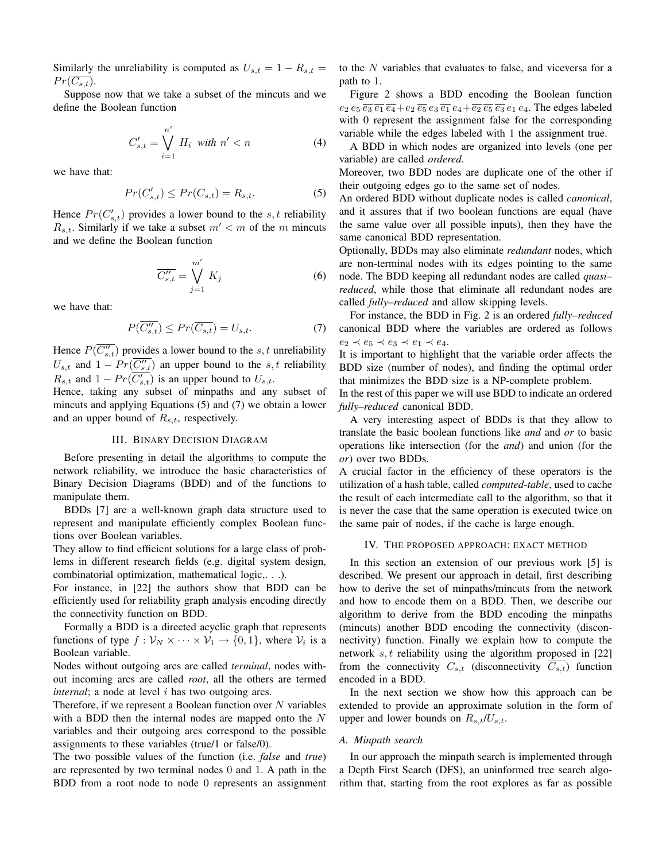Similarly the unreliability is computed as  $U_{s,t} = 1 - R_{s,t} =$  $Pr(\overline{C_{s,t}})$ .

Suppose now that we take a subset of the mincuts and we define the Boolean function

$$
C'_{s,t} = \bigvee_{i=1}^{n'} H_i \text{ with } n' < n \tag{4}
$$

we have that:

$$
Pr(C'_{s,t}) \le Pr(C_{s,t}) = R_{s,t}.
$$
\n<sup>(5)</sup>

Hence  $Pr(C'_{s,t})$  provides a lower bound to the  $s, t$  reliability  $R_{s,t}$ . Similarly if we take a subset  $m' < m$  of the m mincuts and we define the Boolean function

$$
\overline{C_{s,t}^{"}} = \bigvee_{j=1}^{m'} K_j
$$
\n(6)

we have that:

$$
P(\overline{C_{s,t}^{"}}) \le Pr(\overline{C_{s,t}}) = U_{s,t}.
$$
\n<sup>(7)</sup>

Hence  $P(\overline{C_{s,t}^{"}})$  provides a lower bound to the s, t unreliability  $U_{s,t}$  and  $1 - Pr(\overline{C_{s,t}''})$  an upper bound to the  $s,t$  reliability  $R_{s,t}$  and  $1 - Pr(\overline{C'_{s,t}})$  is an upper bound to  $U_{s,t}$ .

Hence, taking any subset of minpaths and any subset of mincuts and applying Equations (5) and (7) we obtain a lower and an upper bound of  $R_{s,t}$ , respectively.

## III. BINARY DECISION DIAGRAM

Before presenting in detail the algorithms to compute the network reliability, we introduce the basic characteristics of Binary Decision Diagrams (BDD) and of the functions to manipulate them.

BDDs [7] are a well-known graph data structure used to represent and manipulate efficiently complex Boolean functions over Boolean variables.

They allow to find efficient solutions for a large class of problems in different research fields (e.g. digital system design, combinatorial optimization, mathematical logic,. . .).

For instance, in [22] the authors show that BDD can be efficiently used for reliability graph analysis encoding directly the connectivity function on BDD.

Formally a BDD is a directed acyclic graph that represents functions of type  $f: \mathcal{V}_N \times \cdots \times \mathcal{V}_1 \rightarrow \{0,1\}$ , where  $\mathcal{V}_i$  is a Boolean variable.

Nodes without outgoing arcs are called *terminal*, nodes without incoming arcs are called *root*, all the others are termed *internal*; a node at level *i* has two outgoing arcs.

Therefore, if we represent a Boolean function over  $N$  variables with a BDD then the internal nodes are mapped onto the  $N$ variables and their outgoing arcs correspond to the possible assignments to these variables (true/1 or false/0).

The two possible values of the function (i.e. *false* and *true*) are represented by two terminal nodes 0 and 1. A path in the BDD from a root node to node 0 represents an assignment to the N variables that evaluates to false, and viceversa for a path to 1.

Figure 2 shows a BDD encoding the Boolean function  $e_2 e_5 \overline{e_3} \overline{e_1} \overline{e_4} + e_2 \overline{e_5} e_3 \overline{e_1} e_4 + \overline{e_2} \overline{e_5} \overline{e_3} e_1 e_4$ . The edges labeled with 0 represent the assignment false for the corresponding variable while the edges labeled with 1 the assignment true.

A BDD in which nodes are organized into levels (one per variable) are called *ordered*.

Moreover, two BDD nodes are duplicate one of the other if their outgoing edges go to the same set of nodes.

An ordered BDD without duplicate nodes is called *canonical*, and it assures that if two boolean functions are equal (have the same value over all possible inputs), then they have the same canonical BDD representation.

Optionally, BDDs may also eliminate *redundant* nodes, which are non-terminal nodes with its edges pointing to the same node. The BDD keeping all redundant nodes are called *quasi– reduced*, while those that eliminate all redundant nodes are called *fully–reduced* and allow skipping levels.

For instance, the BDD in Fig. 2 is an ordered *fully–reduced* canonical BDD where the variables are ordered as follows  $e_2 \prec e_5 \prec e_3 \prec e_1 \prec e_4.$ 

It is important to highlight that the variable order affects the BDD size (number of nodes), and finding the optimal order that minimizes the BDD size is a NP-complete problem.

In the rest of this paper we will use BDD to indicate an ordered *fully–reduced* canonical BDD.

A very interesting aspect of BDDs is that they allow to translate the basic boolean functions like *and* and *or* to basic operations like intersection (for the *and*) and union (for the *or*) over two BDDs.

A crucial factor in the efficiency of these operators is the utilization of a hash table, called *computed-table*, used to cache the result of each intermediate call to the algorithm, so that it is never the case that the same operation is executed twice on the same pair of nodes, if the cache is large enough.

#### IV. THE PROPOSED APPROACH: EXACT METHOD

In this section an extension of our previous work [5] is described. We present our approach in detail, first describing how to derive the set of minpaths/mincuts from the network and how to encode them on a BDD. Then, we describe our algorithm to derive from the BDD encoding the minpaths (mincuts) another BDD encoding the connectivity (disconnectivity) function. Finally we explain how to compute the network  $s, t$  reliability using the algorithm proposed in [22] from the connectivity  $C_{s,t}$  (disconnectivity  $\overline{C_{s,t}}$ ) function encoded in a BDD.

In the next section we show how this approach can be extended to provide an approximate solution in the form of upper and lower bounds on  $R_{s,t}/U_{s,t}$ .

#### *A. Minpath search*

In our approach the minpath search is implemented through a Depth First Search (DFS), an uninformed tree search algorithm that, starting from the root explores as far as possible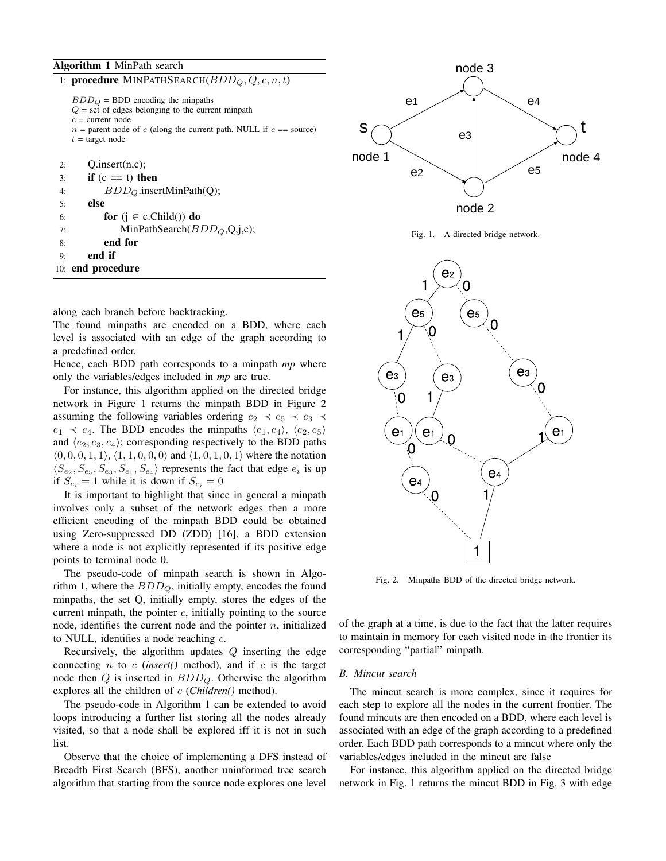## Algorithm 1 MinPath search

| 1: procedure MINPATHSEARCH $(BDD_Q, Q, c, n, t)$                                                                                                              |         |
|---------------------------------------------------------------------------------------------------------------------------------------------------------------|---------|
| $BDD_Q = BDD$ encoding the minpaths<br>$Q =$ set of edges belonging to the current minpath                                                                    |         |
| $c =$ current node<br>$n =$ parent node of c (along the current path, NULL if $c =$ source)<br>$t = \text{target node}$                                       | S       |
| Q.insert(n,c);<br>2:                                                                                                                                          | no      |
| if $(c == t)$ then<br>3:                                                                                                                                      |         |
| $BDD_Q$ .insertMinPath(Q);<br>4:                                                                                                                              |         |
| else<br>5:                                                                                                                                                    |         |
| for $(j \in c.Cchild())$ do<br>6:                                                                                                                             |         |
| MinPathSearch $(BDDQ, Q, j, c)$ ;<br>7:                                                                                                                       |         |
| end for<br>8:                                                                                                                                                 |         |
| end if<br>9:                                                                                                                                                  |         |
| 10: end procedure                                                                                                                                             |         |
| along each branch before backtracking.<br>The found minpaths are encoded on a BDD, where each<br>level is associated with an edge of the graph according to   |         |
| a predefined order.                                                                                                                                           |         |
| Hence, each BDD path corresponds to a minpath mp where                                                                                                        |         |
| only the variables/edges included in mp are true.                                                                                                             |         |
| For instance, this algorithm applied on the directed bridge                                                                                                   |         |
| network in Figure 1 returns the minpath BDD in Figure 2                                                                                                       |         |
| assuming the following variables ordering $e_2 \prec e_5 \prec e_3 \prec$                                                                                     |         |
| $e_1 \prec e_4$ . The BDD encodes the minpaths $\langle e_1, e_4 \rangle$ , $\langle e_2, e_5 \rangle$                                                        |         |
| and $\langle e_2, e_3, e_4 \rangle$ ; corresponding respectively to the BDD paths                                                                             |         |
| $(0,0,0,1,1), (1,1,0,0,0)$ and $(1,0,1,0,1)$ where the notation                                                                                               |         |
| $\langle S_{e_2}, S_{e_5}, S_{e_3}, S_{e_1}, S_{e_4} \rangle$ represents the fact that edge $e_i$ is up<br>if $S_{e_i} = 1$ while it is down if $S_{e_i} = 0$ |         |
| It is important to highlight that since in general a minpath                                                                                                  |         |
|                                                                                                                                                               |         |
| involves only a subset of the network edges then a more                                                                                                       |         |
| efficient encoding of the minpath BDD could be obtained                                                                                                       |         |
| using Zero-suppressed DD (ZDD) [16], a BDD extension<br>where a node is not explicitly represented if its positive edge                                       |         |
| points to terminal node 0.                                                                                                                                    |         |
|                                                                                                                                                               |         |
| The pseudo-code of minpath search is shown in Algo-                                                                                                           |         |
| rithm 1, where the $BDD_Q$ , initially empty, encodes the found                                                                                               |         |
| minpaths, the set Q, initially empty, stores the edges of the                                                                                                 |         |
| current minpath, the pointer $c$ , initially pointing to the source                                                                                           | of the  |
| node, identifies the current node and the pointer $n$ , initialized                                                                                           | to mai  |
| to NULL, identifies a node reaching $c$ .                                                                                                                     | corresp |
| Recursively, the algorithm updates $Q$ inserting the edge                                                                                                     |         |
| connecting $n$ to $c$ (insert() method), and if $c$ is the target                                                                                             | B. Min  |
| node then $Q$ is inserted in $BDD_Q$ . Otherwise the algorithm                                                                                                |         |
| explores all the children of c (Children() method).                                                                                                           | The     |
| The pseudo-code in Algorithm 1 can be extended to avoid                                                                                                       | each s  |
| loops introducing a further list storing all the nodes already                                                                                                | found   |
| visited, so that a node shall be explored iff it is not in such                                                                                               | associa |
| list.                                                                                                                                                         | order.  |
| Observe that the choice of implementing a DFS instead of                                                                                                      | variabl |
| Breadth First Search (BFS), another uninformed tree search                                                                                                    | For     |
| algorithm that starting from the source node explores one level                                                                                               | networ  |



Fig. 1. A directed bridge network.



Fig. 2. Minpaths BDD of the directed bridge network.

of the graph at a time, is due to the fact that the latter requires to maintain in memory for each visited node in the frontier its corresponding "partial" minpath.

## *B. Mincut search*

The mincut search is more complex, since it requires for each step to explore all the nodes in the current frontier. The found mincuts are then encoded on a BDD, where each level is associated with an edge of the graph according to a predefined order. Each BDD path corresponds to a mincut where only the variables/edges included in the mincut are false

For instance, this algorithm applied on the directed bridge network in Fig. 1 returns the mincut BDD in Fig. 3 with edge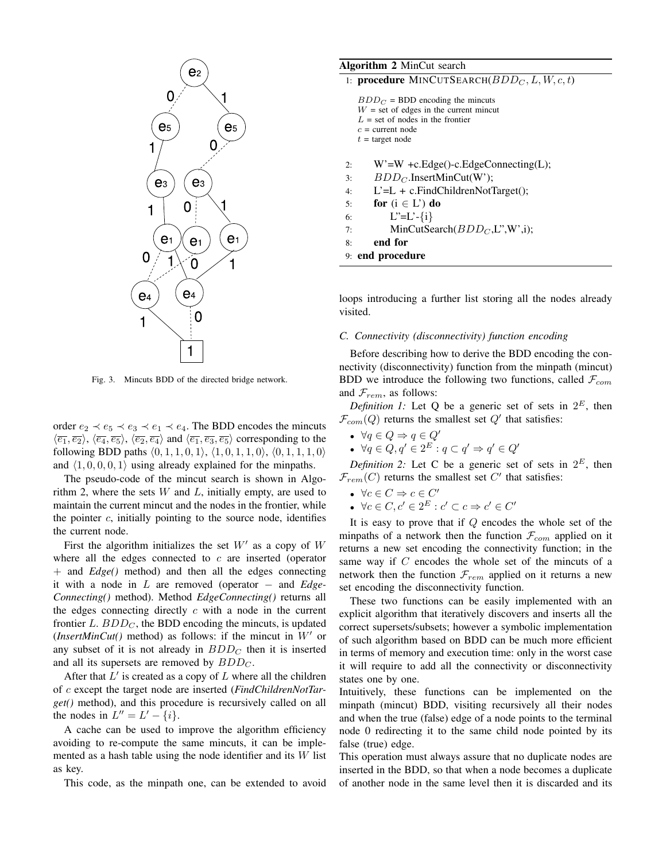

Fig. 3. Mincuts BDD of the directed bridge network.

order  $e_2 \prec e_5 \prec e_3 \prec e_1 \prec e_4$ . The BDD encodes the mincuts  $\langle \overline{e_1}, \overline{e_2} \rangle$ ,  $\langle \overline{e_4}, \overline{e_5} \rangle$ ,  $\langle \overline{e_2}, \overline{e_4} \rangle$  and  $\langle \overline{e_1}, \overline{e_3}, \overline{e_5} \rangle$  corresponding to the following BDD paths  $(0, 1, 1, 0, 1), (1, 0, 1, 1, 0), (0, 1, 1, 1, 0)$ and  $\langle 1, 0, 0, 0, 1 \rangle$  using already explained for the minpaths.

The pseudo-code of the mincut search is shown in Algorithm 2, where the sets  $W$  and  $L$ , initially empty, are used to maintain the current mincut and the nodes in the frontier, while the pointer  $c$ , initially pointing to the source node, identifies the current node.

First the algorithm initializes the set  $W'$  as a copy of  $W$ where all the edges connected to  $c$  are inserted (operator + and *Edge()* method) and then all the edges connecting it with a node in L are removed (operator − and *Edge-Connecting()* method). Method *EdgeConnecting()* returns all the edges connecting directly  $c$  with a node in the current frontier  $L$ .  $BDD<sub>C</sub>$ , the BDD encoding the mincuts, is updated (*InsertMinCut*() method) as follows: if the mincut in  $W'$  or any subset of it is not already in  $BDD<sub>C</sub>$  then it is inserted and all its supersets are removed by  $BDD<sub>C</sub>$ .

After that  $L'$  is created as a copy of  $L$  where all the children of c except the target node are inserted (*FindChildrenNotTarget()* method), and this procedure is recursively called on all the nodes in  $L'' = L' - \{i\}.$ 

A cache can be used to improve the algorithm efficiency avoiding to re-compute the same mincuts, it can be implemented as a hash table using the node identifier and its  $W$  list as key.

This code, as the minpath one, can be extended to avoid

## Algorithm 2 MinCut search

1: procedure MINCUTSEARCH $(BDD<sub>C</sub>, L, W, c, t)$ 

 $BDD<sub>C</sub>$  = BDD encoding the mincuts  $W =$  set of edges in the current mincut  $L =$  set of nodes in the frontier  $c =$  current node  $t = \text{target node}$ 

2: W'=W +c.Edge()-c.EdgeConnecting(L);

- 3:  $BDD<sub>C</sub>$ .InsertMinCut(W');
- 4: L'=L + c.FindChildrenNotTarget();
- 5: for  $(i \in L')$  do
- 6:  $L^{\prime} = L^{\prime} \{i\}$
- 7: MinCutSearch $(BDD<sub>C</sub>, L<sup>n</sup>, W<sub>n</sub>)$ ;
- 8: end for
- 9: end procedure

loops introducing a further list storing all the nodes already visited.

## *C. Connectivity (disconnectivity) function encoding*

Before describing how to derive the BDD encoding the connectivity (disconnectivity) function from the minpath (mincut) BDD we introduce the following two functions, called  $\mathcal{F}_{com}$ and  $\mathcal{F}_{rem}$ , as follows:

*Definition 1:* Let Q be a generic set of sets in  $2^E$ , then  $\mathcal{F}_{com}(Q)$  returns the smallest set  $Q'$  that satisfies:

- $\forall q \in Q \Rightarrow q \in Q'$
- $\forall q \in Q, q' \in 2^E : q \subset q' \Rightarrow q' \in Q'$

*Definition* 2: Let C be a generic set of sets in  $2^E$ , then  $\mathcal{F}_{rem}(C)$  returns the smallest set  $C'$  that satisfies:

- $\forall c \in C \Rightarrow c \in C'$
- $\forall c \in C, c' \in 2^E : c' \subset c \Rightarrow c' \in C'$

It is easy to prove that if  $Q$  encodes the whole set of the minpaths of a network then the function  $\mathcal{F}_{com}$  applied on it returns a new set encoding the connectivity function; in the same way if C encodes the whole set of the mincuts of a network then the function  $\mathcal{F}_{rem}$  applied on it returns a new set encoding the disconnectivity function.

These two functions can be easily implemented with an explicit algorithm that iteratively discovers and inserts all the correct supersets/subsets; however a symbolic implementation of such algorithm based on BDD can be much more efficient in terms of memory and execution time: only in the worst case it will require to add all the connectivity or disconnectivity states one by one.

Intuitively, these functions can be implemented on the minpath (mincut) BDD, visiting recursively all their nodes and when the true (false) edge of a node points to the terminal node 0 redirecting it to the same child node pointed by its false (true) edge.

This operation must always assure that no duplicate nodes are inserted in the BDD, so that when a node becomes a duplicate of another node in the same level then it is discarded and its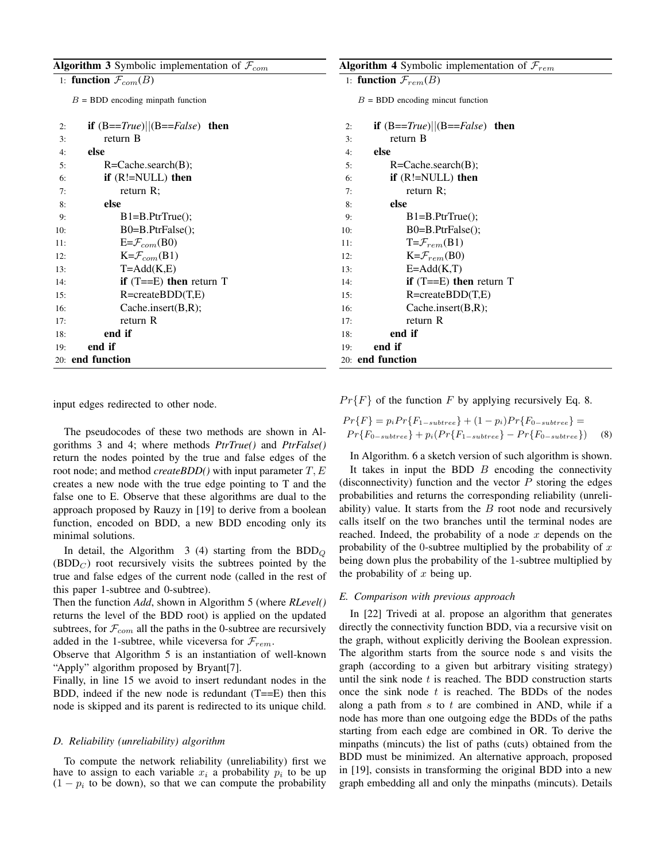| <b>Algorithm 3</b> Symbolic implementation of $\mathcal{F}_{com}$ |                                     | <b>Algorithm 4</b> Symbolic implementation of $\mathcal{F}_{rem}$ |  |  |  |  |
|-------------------------------------------------------------------|-------------------------------------|-------------------------------------------------------------------|--|--|--|--|
| 1: function $\mathcal{F}_{com}(B)$                                |                                     | 1: function $\mathcal{F}_{rem}(B)$                                |  |  |  |  |
| $B = BDD$ encoding minpath function                               |                                     | $B = BDD$ encoding mincut function                                |  |  |  |  |
| 2:                                                                | if $(B == True)  (B == False)$ then | if $(B == True)  (B == False)$ then<br>2:                         |  |  |  |  |
| 3:                                                                | return B                            | return B<br>3:                                                    |  |  |  |  |
| 4:                                                                | else                                | else<br>4:                                                        |  |  |  |  |
| 5:                                                                | $R = Cache.search(B);$              | $R = Cache.search(B);$<br>5:                                      |  |  |  |  |
| 6:                                                                | if $(R!=NULL)$ then                 | if $(R!=NULL)$ then<br>6:                                         |  |  |  |  |
| 7:                                                                | return $R$ ;                        | return $R$ ;<br>7:                                                |  |  |  |  |
| 8:                                                                | else                                | else<br>8:                                                        |  |  |  |  |
| 9:                                                                | $B1 = B.PtrTrue($ :                 | $B1 = B.PtrTrue($ ;<br>9:                                         |  |  |  |  |
| 10:                                                               | B0=B.PtrFalse();                    | B0=B.PtrFalse();<br>10:                                           |  |  |  |  |
| 11:                                                               | $E = \mathcal{F}_{com}(\text{B0})$  | $T = \mathcal{F}_{rem}(B1)$<br>11:                                |  |  |  |  |
| 12:                                                               | $K = \mathcal{F}_{com}(B1)$         | $K=\mathcal{F}_{rem}(B0)$<br>12:                                  |  |  |  |  |
| 13:                                                               | $T = Add(K,E)$                      | $E = Add(K,T)$<br>13:                                             |  |  |  |  |
| 14:                                                               | if $(T == E)$ then return T         | if $(T == E)$ then return T<br>14:                                |  |  |  |  |
| 15:                                                               | $R = createBDD(T,E)$                | $R = createBDD(T,E)$<br>15:                                       |  |  |  |  |
| 16:                                                               | Cache.insert(B,R);                  | Cache.insert(B,R);<br>16:                                         |  |  |  |  |
| 17:                                                               | return R                            | return R<br>17:                                                   |  |  |  |  |
| 18:                                                               | end if                              | end if<br>18:                                                     |  |  |  |  |
| 19:                                                               | end if                              | end if<br>19:                                                     |  |  |  |  |
| 20: end function                                                  |                                     | 20: end function                                                  |  |  |  |  |

input edges redirected to other node.

The pseudocodes of these two methods are shown in Algorithms 3 and 4; where methods *PtrTrue()* and *PtrFalse()* return the nodes pointed by the true and false edges of the root node; and method *createBDD()* with input parameter  $T$ ,  $E$ creates a new node with the true edge pointing to T and the false one to E. Observe that these algorithms are dual to the approach proposed by Rauzy in [19] to derive from a boolean function, encoded on BDD, a new BDD encoding only its minimal solutions.

In detail, the Algorithm  $3(4)$  starting from the BDD<sub>Q</sub>  $(BDD<sub>C</sub>)$  root recursively visits the subtrees pointed by the true and false edges of the current node (called in the rest of this paper 1-subtree and 0-subtree).

Then the function *Add*, shown in Algorithm 5 (where *RLevel()* returns the level of the BDD root) is applied on the updated subtrees, for  $\mathcal{F}_{com}$  all the paths in the 0-subtree are recursively added in the 1-subtree, while viceversa for  $\mathcal{F}_{rem}$ .

Observe that Algorithm 5 is an instantiation of well-known "Apply" algorithm proposed by Bryant[7].

Finally, in line 15 we avoid to insert redundant nodes in the BDD, indeed if the new node is redundant  $(T==E)$  then this node is skipped and its parent is redirected to its unique child.

#### *D. Reliability (unreliability) algorithm*

To compute the network reliability (unreliability) first we have to assign to each variable  $x_i$  a probability  $p_i$  to be up  $(1 - p_i)$  to be down), so that we can compute the probability  $Pr{F}$  of the function F by applying recursively Eq. 8.

$$
Pr{F} = p_i Pr{F_{1-subtree}} + (1 - p_i)Pr{F_{0-subtree}} =
$$
  

$$
Pr{F_{0-subtree}} + p_i (Pr{F_{1-subtree}} - Pr{F_{0-subtree}})
$$
 (8)

In Algorithm. 6 a sketch version of such algorithm is shown.

It takes in input the BDD  $B$  encoding the connectivity (disconnectivity) function and the vector  $P$  storing the edges probabilities and returns the corresponding reliability (unreliability) value. It starts from the  $B$  root node and recursively calls itself on the two branches until the terminal nodes are reached. Indeed, the probability of a node  $x$  depends on the probability of the 0-subtree multiplied by the probability of  $x$ being down plus the probability of the 1-subtree multiplied by the probability of  $x$  being up.

## *E. Comparison with previous approach*

In [22] Trivedi at al. propose an algorithm that generates directly the connectivity function BDD, via a recursive visit on the graph, without explicitly deriving the Boolean expression. The algorithm starts from the source node s and visits the graph (according to a given but arbitrary visiting strategy) until the sink node  $t$  is reached. The BDD construction starts once the sink node  $t$  is reached. The BDDs of the nodes along a path from  $s$  to  $t$  are combined in AND, while if a node has more than one outgoing edge the BDDs of the paths starting from each edge are combined in OR. To derive the minpaths (mincuts) the list of paths (cuts) obtained from the BDD must be minimized. An alternative approach, proposed in [19], consists in transforming the original BDD into a new graph embedding all and only the minpaths (mincuts). Details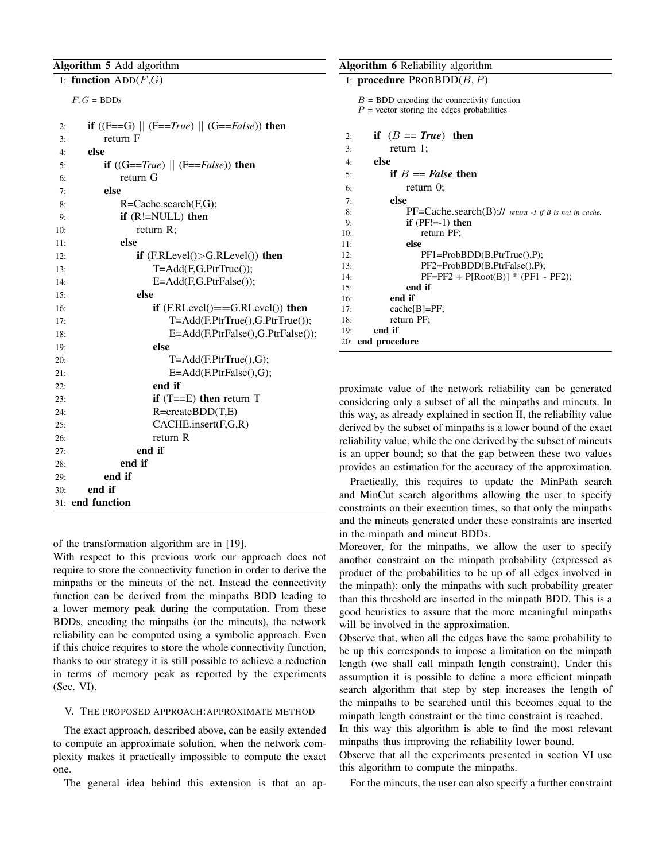# Algorithm 5 Add algorithm

| 1: function $ADD(F,G)$                                                         |
|--------------------------------------------------------------------------------|
| $F, G = BDDs$                                                                  |
| <b>if</b> ((F==G) $  $ (F== <i>True</i> ) $  $ (G== <i>False</i> )) then<br>2: |
| return F<br>3:                                                                 |
| else<br>4:                                                                     |
| if $((G == True)    (F == False))$ then<br>5:                                  |
| return G<br>6:                                                                 |
| else<br>7:                                                                     |
| $R = Cache.search(F,G);$<br>8:                                                 |
| if $(R!=NULL)$ then<br>9:                                                      |
| return R;<br>10:                                                               |
| else<br>11:                                                                    |
| if $(F.RLevel() > G.RLevel())$ then<br>12:                                     |
| $T = Add(F, G. PtrTrue())$ ;<br>13:                                            |
| $E = Add(F, G. PtrFalse())$ ;<br>14:                                           |
| else<br>15:                                                                    |
| if $(F.RLevel() == G.RLevel()$ then<br>16:                                     |
| T=Add(F.PtrTrue(),G.PtrTrue());<br>17:                                         |
| E=Add(F.PtrFalse(),G.PtrFalse());<br>18:                                       |
| else<br>19:                                                                    |
| $T = Add(F.PtrTrue(), G);$<br>20:                                              |
| $E = Add(F.PtrFalse(), G);$<br>21:                                             |
| end if<br>22:                                                                  |
| if $(T == E)$ then return T<br>23:                                             |
| $R = createBDD(T,E)$<br>24:                                                    |
| CACHE.insert(F,G,R)<br>25:                                                     |
| return R<br>26:                                                                |
| end if<br>27:<br>end if                                                        |
| 28:<br>end if<br>29:                                                           |
| end if<br>30:                                                                  |
| 31: end function                                                               |
|                                                                                |

of the transformation algorithm are in [19].

With respect to this previous work our approach does not require to store the connectivity function in order to derive the minpaths or the mincuts of the net. Instead the connectivity function can be derived from the minpaths BDD leading to a lower memory peak during the computation. From these BDDs, encoding the minpaths (or the mincuts), the network reliability can be computed using a symbolic approach. Even if this choice requires to store the whole connectivity function, thanks to our strategy it is still possible to achieve a reduction in terms of memory peak as reported by the experiments (Sec. VI).

## V. THE PROPOSED APPROACH:APPROXIMATE METHOD

The exact approach, described above, can be easily extended to compute an approximate solution, when the network complexity makes it practically impossible to compute the exact one.

The general idea behind this extension is that an ap-

## Algorithm 6 Reliability algorithm

| 1: <b>procedure</b> $PROBDD(B, P)$                           |  |  |  |  |  |  |  |  |  |
|--------------------------------------------------------------|--|--|--|--|--|--|--|--|--|
| $B = BDD$ encoding the connectivity function                 |  |  |  |  |  |  |  |  |  |
| $P$ = vector storing the edges probabilities                 |  |  |  |  |  |  |  |  |  |
|                                                              |  |  |  |  |  |  |  |  |  |
| if $(B == True)$ then<br>2:                                  |  |  |  |  |  |  |  |  |  |
| return $1$ ;<br>3:                                           |  |  |  |  |  |  |  |  |  |
| else<br>4:                                                   |  |  |  |  |  |  |  |  |  |
| if $B == False$ then<br>5:                                   |  |  |  |  |  |  |  |  |  |
| return $0$ ;<br>6:                                           |  |  |  |  |  |  |  |  |  |
| else<br>7:                                                   |  |  |  |  |  |  |  |  |  |
| $PF=Cache.search(B)//$ return -1 if B is not in cache.<br>8: |  |  |  |  |  |  |  |  |  |
| if $(PF!=-1)$ then<br>9:                                     |  |  |  |  |  |  |  |  |  |
| 10:<br>return PF;                                            |  |  |  |  |  |  |  |  |  |
| else<br>11:                                                  |  |  |  |  |  |  |  |  |  |
| $PF1 = ProbBDD(B.PtrTrue(), P);$<br>12:                      |  |  |  |  |  |  |  |  |  |
| PF2=ProbBDD(B.PtrFalse(),P);<br>13:                          |  |  |  |  |  |  |  |  |  |
| $PF=PF2 + P[Root(B)] * (PF1 - PF2);$<br>14:                  |  |  |  |  |  |  |  |  |  |
| end if<br>15:                                                |  |  |  |  |  |  |  |  |  |
| end if<br>16:                                                |  |  |  |  |  |  |  |  |  |
| $cache[B]=PF;$<br>17:                                        |  |  |  |  |  |  |  |  |  |
| return PF;<br>18:                                            |  |  |  |  |  |  |  |  |  |
| end if<br>19:                                                |  |  |  |  |  |  |  |  |  |
| 20: end procedure                                            |  |  |  |  |  |  |  |  |  |

proximate value of the network reliability can be generated considering only a subset of all the minpaths and mincuts. In this way, as already explained in section II, the reliability value derived by the subset of minpaths is a lower bound of the exact reliability value, while the one derived by the subset of mincuts is an upper bound; so that the gap between these two values provides an estimation for the accuracy of the approximation.

Practically, this requires to update the MinPath search and MinCut search algorithms allowing the user to specify constraints on their execution times, so that only the minpaths and the mincuts generated under these constraints are inserted in the minpath and mincut BDDs.

Moreover, for the minpaths, we allow the user to specify another constraint on the minpath probability (expressed as product of the probabilities to be up of all edges involved in the minpath): only the minpaths with such probability greater than this threshold are inserted in the minpath BDD. This is a good heuristics to assure that the more meaningful minpaths will be involved in the approximation.

Observe that, when all the edges have the same probability to be up this corresponds to impose a limitation on the minpath length (we shall call minpath length constraint). Under this assumption it is possible to define a more efficient minpath search algorithm that step by step increases the length of the minpaths to be searched until this becomes equal to the minpath length constraint or the time constraint is reached.

In this way this algorithm is able to find the most relevant minpaths thus improving the reliability lower bound.

Observe that all the experiments presented in section VI use this algorithm to compute the minpaths.

For the mincuts, the user can also specify a further constraint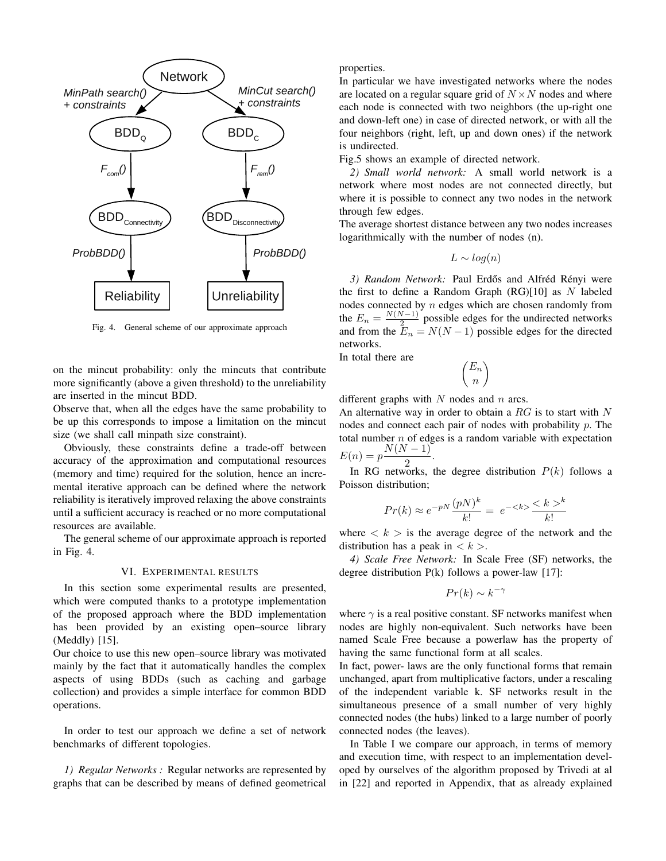

Fig. 4. General scheme of our approximate approach

on the mincut probability: only the mincuts that contribute more significantly (above a given threshold) to the unreliability are inserted in the mincut BDD.

Observe that, when all the edges have the same probability to be up this corresponds to impose a limitation on the mincut size (we shall call minpath size constraint).

Obviously, these constraints define a trade-off between accuracy of the approximation and computational resources (memory and time) required for the solution, hence an incremental iterative approach can be defined where the network reliability is iteratively improved relaxing the above constraints until a sufficient accuracy is reached or no more computational resources are available.

The general scheme of our approximate approach is reported in Fig. 4.

## VI. EXPERIMENTAL RESULTS

In this section some experimental results are presented, which were computed thanks to a prototype implementation of the proposed approach where the BDD implementation has been provided by an existing open–source library (Meddly) [15].

Our choice to use this new open–source library was motivated mainly by the fact that it automatically handles the complex aspects of using BDDs (such as caching and garbage collection) and provides a simple interface for common BDD operations.

In order to test our approach we define a set of network benchmarks of different topologies.

*1) Regular Networks :* Regular networks are represented by graphs that can be described by means of defined geometrical

#### properties.

In particular we have investigated networks where the nodes are located on a regular square grid of  $N \times N$  nodes and where each node is connected with two neighbors (the up-right one and down-left one) in case of directed network, or with all the four neighbors (right, left, up and down ones) if the network is undirected.

Fig.5 shows an example of directed network.

*2) Small world network:* A small world network is a network where most nodes are not connected directly, but where it is possible to connect any two nodes in the network through few edges.

The average shortest distance between any two nodes increases logarithmically with the number of nodes (n).

$$
L \sim log(n)
$$

3) Random Network: Paul Erdős and Alfréd Rényi were the first to define a Random Graph  $(RG)[10]$  as N labeled nodes connected by  $n$  edges which are chosen randomly from the  $E_n = \frac{N(N-1)}{2}$  $\frac{\sqrt{2}-1}{2}$  possible edges for the undirected networks and from the  $E_n = N(N-1)$  possible edges for the directed networks.

In total there are

$$
\binom{E_n}{n}
$$

different graphs with  $N$  nodes and  $n$  arcs.

An alternative way in order to obtain a  $RG$  is to start with  $N$ nodes and connect each pair of nodes with probability p. The total number  $n$  of edges is a random variable with expectation  $E(n) = p \frac{N(N-1)}{2}$ .

2 In RG networks, the degree distribution  $P(k)$  follows a Poisson distribution;

$$
Pr(k) \approx e^{-pN} \frac{(pN)^k}{k!} = e^{-\langle k \rangle} \frac{\langle k \rangle^k}{k!}
$$

where  $\langle k \rangle$  is the average degree of the network and the distribution has a peak in  $\langle k \rangle$ .

*4) Scale Free Network:* In Scale Free (SF) networks, the degree distribution P(k) follows a power-law [17]:

$$
Pr(k) \sim k^{-\gamma}
$$

where  $\gamma$  is a real positive constant. SF networks manifest when nodes are highly non-equivalent. Such networks have been named Scale Free because a powerlaw has the property of having the same functional form at all scales.

In fact, power- laws are the only functional forms that remain unchanged, apart from multiplicative factors, under a rescaling of the independent variable k. SF networks result in the simultaneous presence of a small number of very highly connected nodes (the hubs) linked to a large number of poorly connected nodes (the leaves).

In Table I we compare our approach, in terms of memory and execution time, with respect to an implementation developed by ourselves of the algorithm proposed by Trivedi at al in [22] and reported in Appendix, that as already explained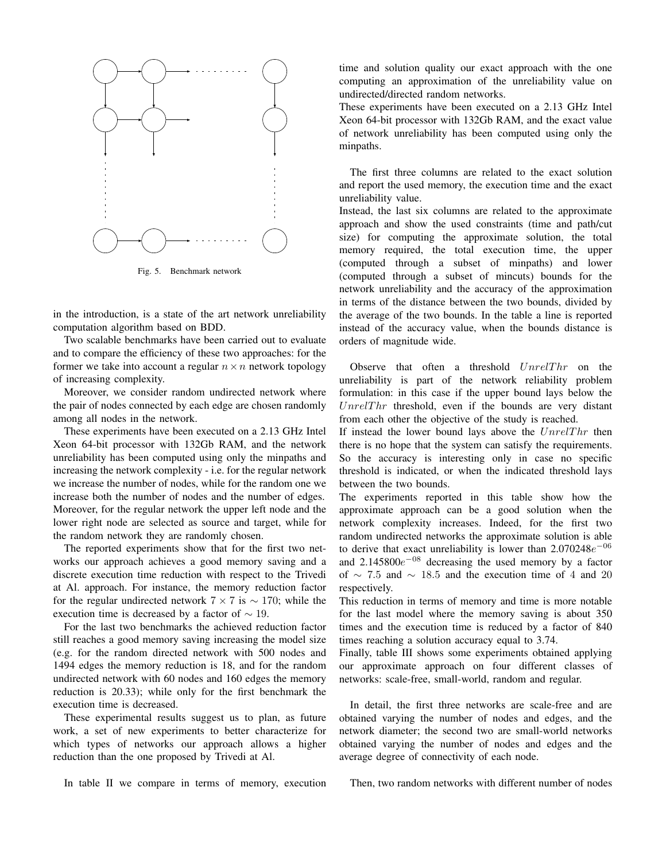

Fig. 5. Benchmark network

in the introduction, is a state of the art network unreliability computation algorithm based on BDD.

Two scalable benchmarks have been carried out to evaluate and to compare the efficiency of these two approaches: for the former we take into account a regular  $n \times n$  network topology of increasing complexity.

Moreover, we consider random undirected network where the pair of nodes connected by each edge are chosen randomly among all nodes in the network.

These experiments have been executed on a 2.13 GHz Intel Xeon 64-bit processor with 132Gb RAM, and the network unreliability has been computed using only the minpaths and increasing the network complexity - i.e. for the regular network we increase the number of nodes, while for the random one we increase both the number of nodes and the number of edges. Moreover, for the regular network the upper left node and the lower right node are selected as source and target, while for the random network they are randomly chosen.

The reported experiments show that for the first two networks our approach achieves a good memory saving and a discrete execution time reduction with respect to the Trivedi at Al. approach. For instance, the memory reduction factor for the regular undirected network  $7 \times 7$  is  $\sim 170$ ; while the execution time is decreased by a factor of  $\sim$  19.

For the last two benchmarks the achieved reduction factor still reaches a good memory saving increasing the model size (e.g. for the random directed network with 500 nodes and 1494 edges the memory reduction is 18, and for the random undirected network with 60 nodes and 160 edges the memory reduction is 20.33); while only for the first benchmark the execution time is decreased.

These experimental results suggest us to plan, as future work, a set of new experiments to better characterize for which types of networks our approach allows a higher reduction than the one proposed by Trivedi at Al.

In table II we compare in terms of memory, execution

time and solution quality our exact approach with the one computing an approximation of the unreliability value on undirected/directed random networks.

These experiments have been executed on a 2.13 GHz Intel Xeon 64-bit processor with 132Gb RAM, and the exact value of network unreliability has been computed using only the minpaths.

The first three columns are related to the exact solution and report the used memory, the execution time and the exact unreliability value.

Instead, the last six columns are related to the approximate approach and show the used constraints (time and path/cut size) for computing the approximate solution, the total memory required, the total execution time, the upper (computed through a subset of minpaths) and lower (computed through a subset of mincuts) bounds for the network unreliability and the accuracy of the approximation in terms of the distance between the two bounds, divided by the average of the two bounds. In the table a line is reported instead of the accuracy value, when the bounds distance is orders of magnitude wide.

Observe that often a threshold  $UnrelThr$  on the unreliability is part of the network reliability problem formulation: in this case if the upper bound lays below the  $UnrelThr$  threshold, even if the bounds are very distant from each other the objective of the study is reached.

If instead the lower bound lays above the  $UnrelThr$  then there is no hope that the system can satisfy the requirements. So the accuracy is interesting only in case no specific threshold is indicated, or when the indicated threshold lays between the two bounds.

The experiments reported in this table show how the approximate approach can be a good solution when the network complexity increases. Indeed, for the first two random undirected networks the approximate solution is able to derive that exact unreliability is lower than  $2.070248e^{-06}$ and  $2.145800e^{-08}$  decreasing the used memory by a factor of  $\sim$  7.5 and  $\sim$  18.5 and the execution time of 4 and 20 respectively.

This reduction in terms of memory and time is more notable for the last model where the memory saving is about 350 times and the execution time is reduced by a factor of 840 times reaching a solution accuracy equal to 3.74.

Finally, table III shows some experiments obtained applying our approximate approach on four different classes of networks: scale-free, small-world, random and regular.

In detail, the first three networks are scale-free and are obtained varying the number of nodes and edges, and the network diameter; the second two are small-world networks obtained varying the number of nodes and edges and the average degree of connectivity of each node.

Then, two random networks with different number of nodes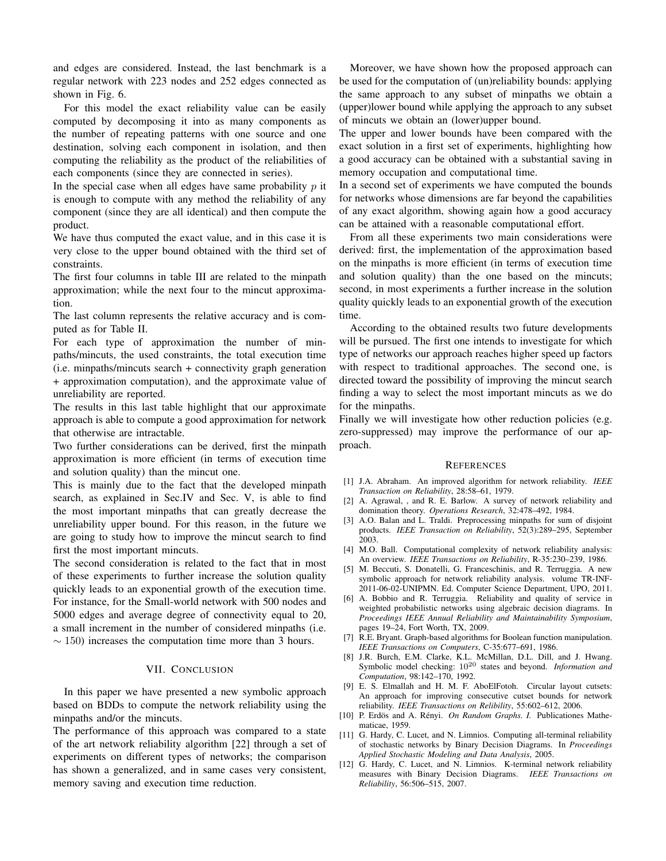and edges are considered. Instead, the last benchmark is a regular network with 223 nodes and 252 edges connected as shown in Fig. 6.

For this model the exact reliability value can be easily computed by decomposing it into as many components as the number of repeating patterns with one source and one destination, solving each component in isolation, and then computing the reliability as the product of the reliabilities of each components (since they are connected in series).

In the special case when all edges have same probability  $p$  it is enough to compute with any method the reliability of any component (since they are all identical) and then compute the product.

We have thus computed the exact value, and in this case it is very close to the upper bound obtained with the third set of constraints.

The first four columns in table III are related to the minpath approximation; while the next four to the mincut approximation.

The last column represents the relative accuracy and is computed as for Table II.

For each type of approximation the number of minpaths/mincuts, the used constraints, the total execution time (i.e. minpaths/mincuts search + connectivity graph generation + approximation computation), and the approximate value of unreliability are reported.

The results in this last table highlight that our approximate approach is able to compute a good approximation for network that otherwise are intractable.

Two further considerations can be derived, first the minpath approximation is more efficient (in terms of execution time and solution quality) than the mincut one.

This is mainly due to the fact that the developed minpath search, as explained in Sec.IV and Sec. V, is able to find the most important minpaths that can greatly decrease the unreliability upper bound. For this reason, in the future we are going to study how to improve the mincut search to find first the most important mincuts.

The second consideration is related to the fact that in most of these experiments to further increase the solution quality quickly leads to an exponential growth of the execution time. For instance, for the Small-world network with 500 nodes and 5000 edges and average degree of connectivity equal to 20, a small increment in the number of considered minpaths (i.e.  $\sim$  150) increases the computation time more than 3 hours.

## VII. CONCLUSION

In this paper we have presented a new symbolic approach based on BDDs to compute the network reliability using the minpaths and/or the mincuts.

The performance of this approach was compared to a state of the art network reliability algorithm [22] through a set of experiments on different types of networks; the comparison has shown a generalized, and in same cases very consistent, memory saving and execution time reduction.

Moreover, we have shown how the proposed approach can be used for the computation of (un)reliability bounds: applying the same approach to any subset of minpaths we obtain a (upper)lower bound while applying the approach to any subset of mincuts we obtain an (lower)upper bound.

The upper and lower bounds have been compared with the exact solution in a first set of experiments, highlighting how a good accuracy can be obtained with a substantial saving in memory occupation and computational time.

In a second set of experiments we have computed the bounds for networks whose dimensions are far beyond the capabilities of any exact algorithm, showing again how a good accuracy can be attained with a reasonable computational effort.

From all these experiments two main considerations were derived: first, the implementation of the approximation based on the minpaths is more efficient (in terms of execution time and solution quality) than the one based on the mincuts; second, in most experiments a further increase in the solution quality quickly leads to an exponential growth of the execution time.

According to the obtained results two future developments will be pursued. The first one intends to investigate for which type of networks our approach reaches higher speed up factors with respect to traditional approaches. The second one, is directed toward the possibility of improving the mincut search finding a way to select the most important mincuts as we do for the minpaths.

Finally we will investigate how other reduction policies (e.g. zero-suppressed) may improve the performance of our approach.

#### **REFERENCES**

- [1] J.A. Abraham. An improved algorithm for network reliability. *IEEE Transaction on Reliability*, 28:58–61, 1979.
- [2] A. Agrawal, , and R. E. Barlow. A survey of network reliability and domination theory. *Operations Research*, 32:478–492, 1984.
- [3] A.O. Balan and L. Traldi. Preprocessing minpaths for sum of disjoint products. *IEEE Transaction on Reliability*, 52(3):289–295, September 2003.
- [4] M.O. Ball. Computational complexity of network reliability analysis: An overview. *IEEE Transactions on Reliability*, R-35:230–239, 1986.
- [5] M. Beccuti, S. Donatelli, G. Franceschinis, and R. Terruggia. A new symbolic approach for network reliability analysis. volume TR-INF-2011-06-02-UNIPMN. Ed. Computer Science Department, UPO, 2011.
- [6] A. Bobbio and R. Terruggia. Reliability and quality of service in weighted probabilistic networks using algebraic decision diagrams. In *Proceedings IEEE Annual Reliability and Maintainability Symposium*, pages 19–24, Fort Worth, TX, 2009.
- [7] R.E. Bryant. Graph-based algorithms for Boolean function manipulation. *IEEE Transactions on Computers*, C-35:677–691, 1986.
- [8] J.R. Burch, E.M. Clarke, K.L. McMillan, D.L. Dill, and J. Hwang. Symbolic model checking: 10<sup>20</sup> states and beyond. *Information and Computation*, 98:142–170, 1992.
- [9] E. S. Elmallah and H. M. F. AboElFotoh. Circular layout cutsets: An approach for improving consecutive cutset bounds for network reliability. *IEEE Transactions on Relibility*, 55:602–612, 2006.
- [10] P. Erdös and A. Rényi. On Random Graphs. I. Publicationes Mathematicae, 1959.
- [11] G. Hardy, C. Lucet, and N. Limnios. Computing all-terminal reliability of stochastic networks by Binary Decision Diagrams. In *Proceedings Applied Stochastic Modeling and Data Analysis*, 2005.
- [12] G. Hardy, C. Lucet, and N. Limnios. K-terminal network reliability measures with Binary Decision Diagrams. *IEEE Transactions on Reliability*, 56:506–515, 2007.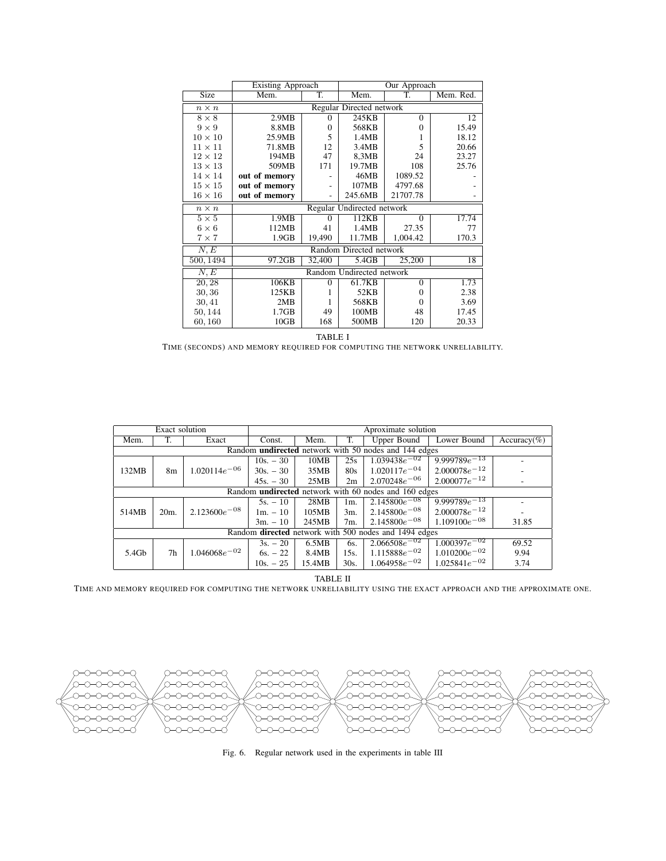|                | Existing Approach         | Our Approach               |                         |          |       |  |  |  |
|----------------|---------------------------|----------------------------|-------------------------|----------|-------|--|--|--|
| Size           | Mem.                      | T.                         | T.<br>Mem. Red.<br>Mem. |          |       |  |  |  |
| $n \times n$   | Regular Directed network  |                            |                         |          |       |  |  |  |
| $8 \times 8$   | 2.9MB                     | $^{(1)}$                   | 245KB                   | $\theta$ | 12    |  |  |  |
| $9 \times 9$   | 8.8MB                     | $\theta$                   | 568KB                   | $\Omega$ | 15.49 |  |  |  |
| $10 \times 10$ | 25.9MB                    | 5                          | 1.4MB                   |          | 18.12 |  |  |  |
| $11 \times 11$ | 71.8MB                    | 12                         | 3.4MB                   | 5        | 20.66 |  |  |  |
| $12 \times 12$ | 194MB                     | 47                         | 8,3MB                   | 24       | 23.27 |  |  |  |
| $13 \times 13$ | 509MB                     | 171                        | 19.7MB                  | 108      | 25.76 |  |  |  |
| $14 \times 14$ | out of memory             |                            | 46MB                    | 1089.52  |       |  |  |  |
| $15 \times 15$ | out of memory             |                            | 107MB                   | 4797.68  |       |  |  |  |
| $16 \times 16$ | out of memory             |                            | 245.6MB                 | 21707.78 |       |  |  |  |
| $n \times n$   |                           | Regular Undirected network |                         |          |       |  |  |  |
| $5 \times 5$   | 1.9MB                     | $\Omega$                   | 112KB                   | $\theta$ | 17.74 |  |  |  |
| $6 \times 6$   | 112MB                     | 41                         | 1.4MB                   | 27.35    | 77    |  |  |  |
| $7\times7$     | 1.9GB                     | 19,490                     | 11.7MB                  | 1,004.42 | 170.3 |  |  |  |
| N,E            |                           |                            | Random Directed network |          |       |  |  |  |
| 500, 1494      | 97.2GB                    | 32,400                     | 5.4GB                   | 25,200   | 18    |  |  |  |
| N, E           | Random Undirected network |                            |                         |          |       |  |  |  |
| 20, 28         | 106KB                     | $\theta$                   | 61.7KB                  | $\Omega$ | 1.73  |  |  |  |
| 30,36          | 125KB                     | 1                          | 52KB                    | $\Omega$ | 2.38  |  |  |  |
| 30, 41         | 2MB                       |                            | 568KB                   | 0        | 3.69  |  |  |  |
| 50, 144        | 1.7GB<br>49               |                            | 100MB                   | 48       | 17.45 |  |  |  |
| 60,160         | 10GB<br>168               |                            | 500MB                   | 120      | 20.33 |  |  |  |

TABLE I

TIME (SECONDS) AND MEMORY REQUIRED FOR COMPUTING THE NETWORK UNRELIABILITY.

|                                                              | Exact solution                                               |                   | Aproximate solution |                                          |        |                   |                    |                |  |
|--------------------------------------------------------------|--------------------------------------------------------------|-------------------|---------------------|------------------------------------------|--------|-------------------|--------------------|----------------|--|
| Mem.                                                         | Т.                                                           | Exact             | Const.              | Lower Bound<br>Upper Bound<br>Mem.<br>T. |        |                   |                    | $Accuracy(\%)$ |  |
| Random <b>undirected</b> network with 50 nodes and 144 edges |                                                              |                   |                     |                                          |        |                   |                    |                |  |
|                                                              |                                                              |                   | $10s. - 30$         | 10MB                                     | 25s    | $1.039438e^{-02}$ | $9.999789e^{-13}$  |                |  |
| 132MB                                                        | 8 <sub>m</sub>                                               | $1.020114e^{-06}$ | $30s - 30$          | 35MB                                     | 80s    | $1.020117e^{-04}$ | $2.000078e^{-12}$  |                |  |
|                                                              |                                                              |                   | $45s - 30$          | 25MB                                     | 2m     | $2.070248e^{-06}$ | $2.000077e^{-12}$  |                |  |
|                                                              | Random <b>undirected</b> network with 60 nodes and 160 edges |                   |                     |                                          |        |                   |                    |                |  |
|                                                              |                                                              |                   | $5s - 10$           | 28MB                                     | 1m.    | $2.145800e^{-08}$ | 9.999789 $e^{-13}$ |                |  |
| 514MB                                                        | 20 <sub>m</sub>                                              | $2.123600e^{-08}$ | $1m - 10$           | 105MB                                    | $3m$ . | $2.145800e^{-08}$ | $2.000078e^{-12}$  |                |  |
|                                                              |                                                              |                   | $3m. - 10$          | 245MB                                    | 7m.    | $2.145800e^{-08}$ | $1.109100e^{-08}$  | 31.85          |  |
| Random directed network with 500 nodes and 1494 edges        |                                                              |                   |                     |                                          |        |                   |                    |                |  |
|                                                              |                                                              |                   | $3s. - 20$          | 6.5MB                                    | 6s.    | $2.066508e^{-02}$ | $1.000397e^{-02}$  | 69.52          |  |
| 5.4Gb                                                        | 7h                                                           | $1.046068e^{-02}$ | $6s. - 22$          | 8.4MB                                    | 15s.   | $1.115888e^{-02}$ | $1.010200e^{-02}$  | 9.94           |  |
|                                                              |                                                              |                   | $10s. - 25$         | 15.4MB                                   | 30s.   | $1.064958e^{-02}$ | $1.025841e^{-02}$  | 3.74           |  |

TABLE II

TIME AND MEMORY REQUIRED FOR COMPUTING THE NETWORK UNRELIABILITY USING THE EXACT APPROACH AND THE APPROXIMATE ONE.



Fig. 6. Regular network used in the experiments in table III